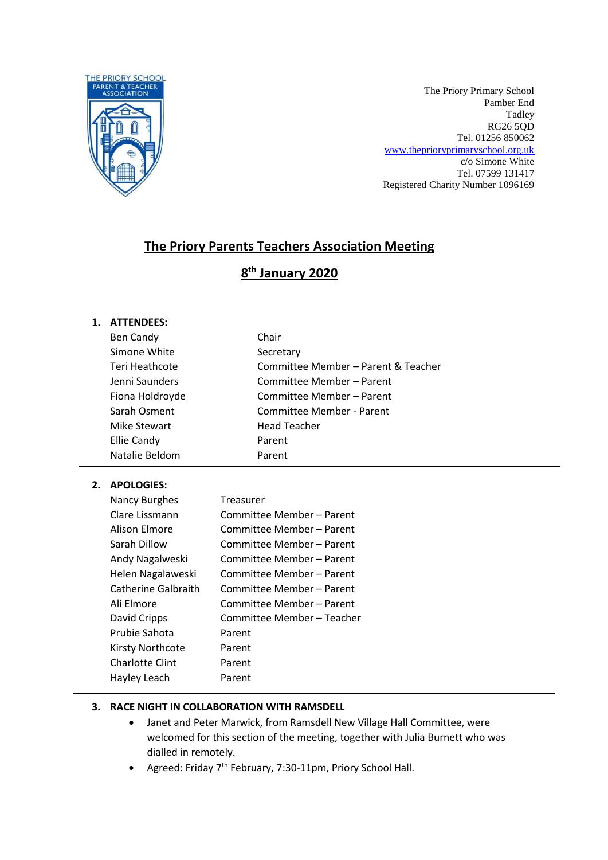

The Priory Primary School Pamber End Tadley RG26 5QD Tel. 01256 850062 [www.theprioryprimaryschool.org.uk](http://www.theprioryprimaryschool.org.uk/) c/o Simone White Tel. 07599 131417 Registered Charity Number 1096169

# **The Priory Parents Teachers Association Meeting**

# **8 th January 2020**

## **1. ATTENDEES:**

| Ben Candy       | Chair                               |
|-----------------|-------------------------------------|
| Simone White    | Secretary                           |
| Teri Heathcote  | Committee Member - Parent & Teacher |
| Jenni Saunders  | Committee Member - Parent           |
| Fiona Holdroyde | Committee Member - Parent           |
| Sarah Osment    | Committee Member - Parent           |
| Mike Stewart    | <b>Head Teacher</b>                 |
| Ellie Candy     | Parent                              |
| Natalie Beldom  | Parent                              |
|                 |                                     |

## **2. APOLOGIES:**

| Committee Member - Parent  |
|----------------------------|
|                            |
| Committee Member - Parent  |
| Committee Member - Parent  |
| Committee Member – Parent  |
| Committee Member - Parent  |
| Committee Member - Parent  |
| Committee Member - Parent  |
| Committee Member - Teacher |
| Parent                     |
| Parent                     |
| Parent                     |
| Parent                     |
|                            |

## **3. RACE NIGHT IN COLLABORATION WITH RAMSDELL**

- Janet and Peter Marwick, from Ramsdell New Village Hall Committee, were welcomed for this section of the meeting, together with Julia Burnett who was dialled in remotely.
- Agreed: Friday 7<sup>th</sup> February, 7:30-11pm, Priory School Hall.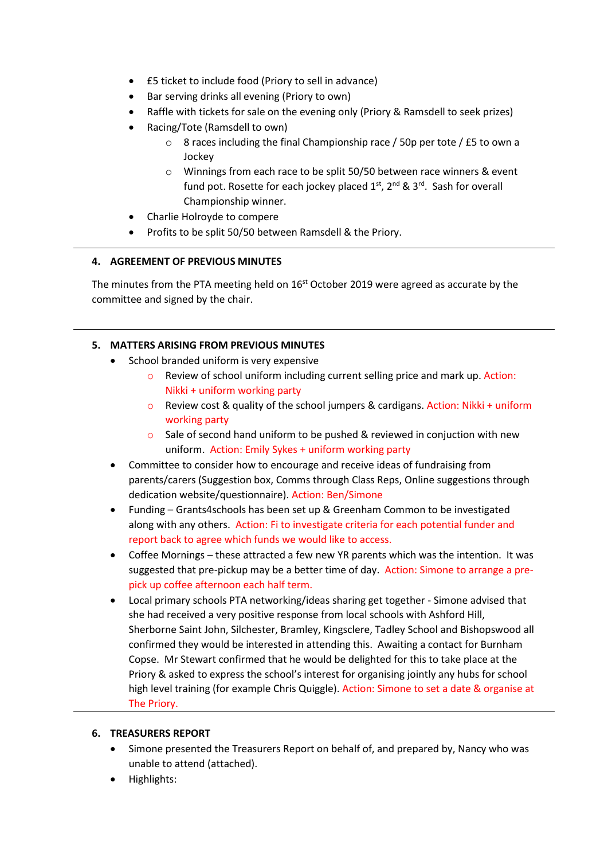- £5 ticket to include food (Priory to sell in advance)
- Bar serving drinks all evening (Priory to own)
- Raffle with tickets for sale on the evening only (Priory & Ramsdell to seek prizes)
- Racing/Tote (Ramsdell to own)
	- o 8 races including the final Championship race / 50p per tote / £5 to own a Jockey
	- o Winnings from each race to be split 50/50 between race winners & event fund pot. Rosette for each jockey placed  $1^{st}$ ,  $2^{nd}$  &  $3^{rd}$ . Sash for overall Championship winner.
- Charlie Holroyde to compere
- Profits to be split 50/50 between Ramsdell & the Priory.

## **4. AGREEMENT OF PREVIOUS MINUTES**

The minutes from the PTA meeting held on 16<sup>st</sup> October 2019 were agreed as accurate by the committee and signed by the chair.

# **5. MATTERS ARISING FROM PREVIOUS MINUTES**

- School branded uniform is very expensive
	- o Review of school uniform including current selling price and mark up. Action: Nikki + uniform working party
	- $\circ$  Review cost & quality of the school jumpers & cardigans. Action: Nikki + uniform working party
	- $\circ$  Sale of second hand uniform to be pushed & reviewed in conjuction with new uniform. Action: Emily Sykes + uniform working party
- Committee to consider how to encourage and receive ideas of fundraising from parents/carers (Suggestion box, Comms through Class Reps, Online suggestions through dedication website/questionnaire). Action: Ben/Simone
- Funding Grants4schools has been set up & Greenham Common to be investigated along with any others. Action: Fi to investigate criteria for each potential funder and report back to agree which funds we would like to access.
- Coffee Mornings these attracted a few new YR parents which was the intention. It was suggested that pre-pickup may be a better time of day. Action: Simone to arrange a prepick up coffee afternoon each half term.
- Local primary schools PTA networking/ideas sharing get together Simone advised that she had received a very positive response from local schools with Ashford Hill, Sherborne Saint John, Silchester, Bramley, Kingsclere, Tadley School and Bishopswood all confirmed they would be interested in attending this. Awaiting a contact for Burnham Copse. Mr Stewart confirmed that he would be delighted for this to take place at the Priory & asked to express the school's interest for organising jointly any hubs for school high level training (for example Chris Quiggle). Action: Simone to set a date & organise at The Priory.

## **6. TREASURERS REPORT**

- Simone presented the Treasurers Report on behalf of, and prepared by, Nancy who was unable to attend (attached).
- Highlights: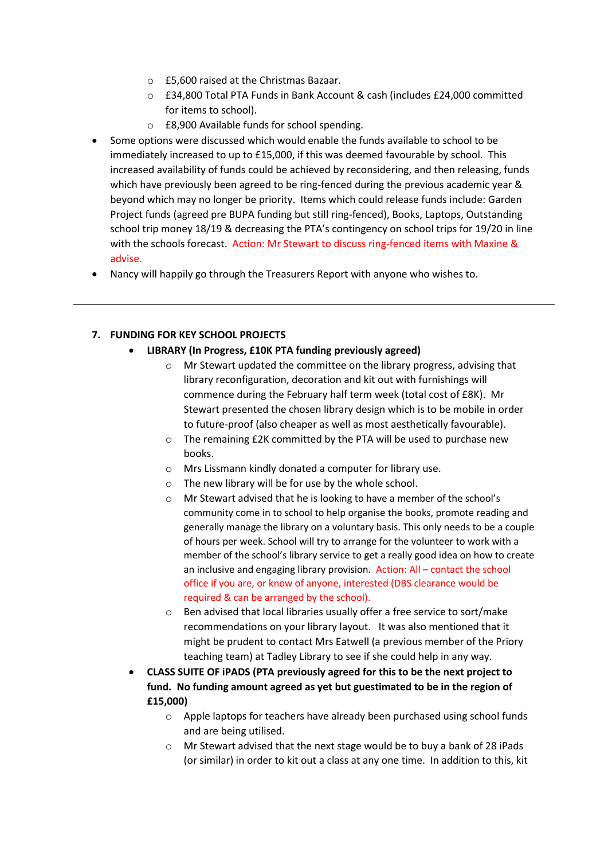- o £5,600 raised at the Christmas Bazaar.
- o £34,800 Total PTA Funds in Bank Account & cash (includes £24,000 committed for items to school).
- o £8,900 Available funds for school spending.
- Some options were discussed which would enable the funds available to school to be immediately increased to up to £15,000, if this was deemed favourable by school. This increased availability of funds could be achieved by reconsidering, and then releasing, funds which have previously been agreed to be ring-fenced during the previous academic year & beyond which may no longer be priority. Items which could release funds include: Garden Project funds (agreed pre BUPA funding but still ring-fenced), Books, Laptops, Outstanding school trip money 18/19 & decreasing the PTA's contingency on school trips for 19/20 in line with the schools forecast. Action: Mr Stewart to discuss ring-fenced items with Maxine & advise.
- Nancy will happily go through the Treasurers Report with anyone who wishes to.

# **7. FUNDING FOR KEY SCHOOL PROJECTS**

## **LIBRARY (In Progress, £10K PTA funding previously agreed)**

- o Mr Stewart updated the committee on the library progress, advising that library reconfiguration, decoration and kit out with furnishings will commence during the February half term week (total cost of £8K). Mr Stewart presented the chosen library design which is to be mobile in order to future-proof (also cheaper as well as most aesthetically favourable).
- o The remaining £2K committed by the PTA will be used to purchase new books.
- o Mrs Lissmann kindly donated a computer for library use.
- o The new library will be for use by the whole school.
- o Mr Stewart advised that he is looking to have a member of the school's community come in to school to help organise the books, promote reading and generally manage the library on a voluntary basis. This only needs to be a couple of hours per week. School will try to arrange for the volunteer to work with a member of the school's library service to get a really good idea on how to create an inclusive and engaging library provision. Action: All – contact the school office if you are, or know of anyone, interested (DBS clearance would be required & can be arranged by the school).
- $\circ$  Ben advised that local libraries usually offer a free service to sort/make recommendations on your library layout. It was also mentioned that it might be prudent to contact Mrs Eatwell (a previous member of the Priory teaching team) at Tadley Library to see if she could help in any way.
- **CLASS SUITE OF iPADS (PTA previously agreed for this to be the next project to fund. No funding amount agreed as yet but guestimated to be in the region of £15,000)**
	- o Apple laptops for teachers have already been purchased using school funds and are being utilised.
	- $\circ$  Mr Stewart advised that the next stage would be to buy a bank of 28 iPads (or similar) in order to kit out a class at any one time. In addition to this, kit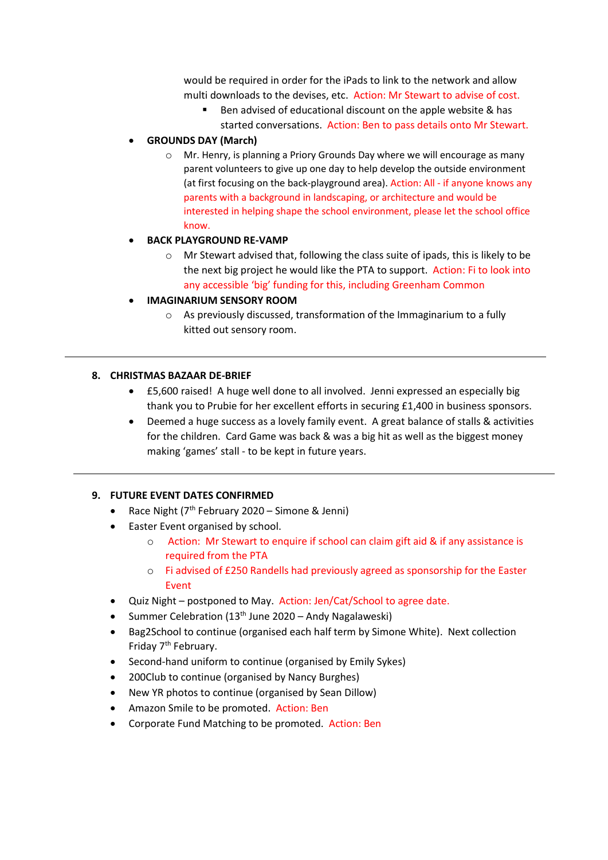would be required in order for the iPads to link to the network and allow multi downloads to the devises, etc. Action: Mr Stewart to advise of cost.

■ Ben advised of educational discount on the apple website & has started conversations. Action: Ben to pass details onto Mr Stewart.

### **GROUNDS DAY (March)**

 $\circ$  Mr. Henry, is planning a Priory Grounds Day where we will encourage as many parent volunteers to give up one day to help develop the outside environment (at first focusing on the back-playground area). Action: All - if anyone knows any parents with a background in landscaping, or architecture and would be interested in helping shape the school environment, please let the school office know.

#### **BACK PLAYGROUND RE-VAMP**

 $\circ$  Mr Stewart advised that, following the class suite of ipads, this is likely to be the next big project he would like the PTA to support. Action: Fi to look into any accessible 'big' funding for this, including Greenham Common

#### **IMAGINARIUM SENSORY ROOM**

o As previously discussed, transformation of the Immaginarium to a fully kitted out sensory room.

#### **8. CHRISTMAS BAZAAR DE-BRIEF**

- £5,600 raised! A huge well done to all involved. Jenni expressed an especially big thank you to Prubie for her excellent efforts in securing £1,400 in business sponsors.
- Deemed a huge success as a lovely family event. A great balance of stalls & activities for the children. Card Game was back & was a big hit as well as the biggest money making 'games' stall - to be kept in future years.

#### **9. FUTURE EVENT DATES CONFIRMED**

- Race Night ( $7<sup>th</sup>$  February 2020 Simone & Jenni)
- Easter Event organised by school.
	- o Action: Mr Stewart to enquire if school can claim gift aid & if any assistance is required from the PTA
	- o Fi advised of £250 Randells had previously agreed as sponsorship for the Easter Event
- Quiz Night postponed to May. Action: Jen/Cat/School to agree date.
- Summer Celebration (13<sup>th</sup> June 2020 Andy Nagalaweski)
- Bag2School to continue (organised each half term by Simone White). Next collection Friday 7<sup>th</sup> February.
- Second-hand uniform to continue (organised by Emily Sykes)
- 200Club to continue (organised by Nancy Burghes)
- New YR photos to continue (organised by Sean Dillow)
- Amazon Smile to be promoted. Action: Ben
- Corporate Fund Matching to be promoted. Action: Ben